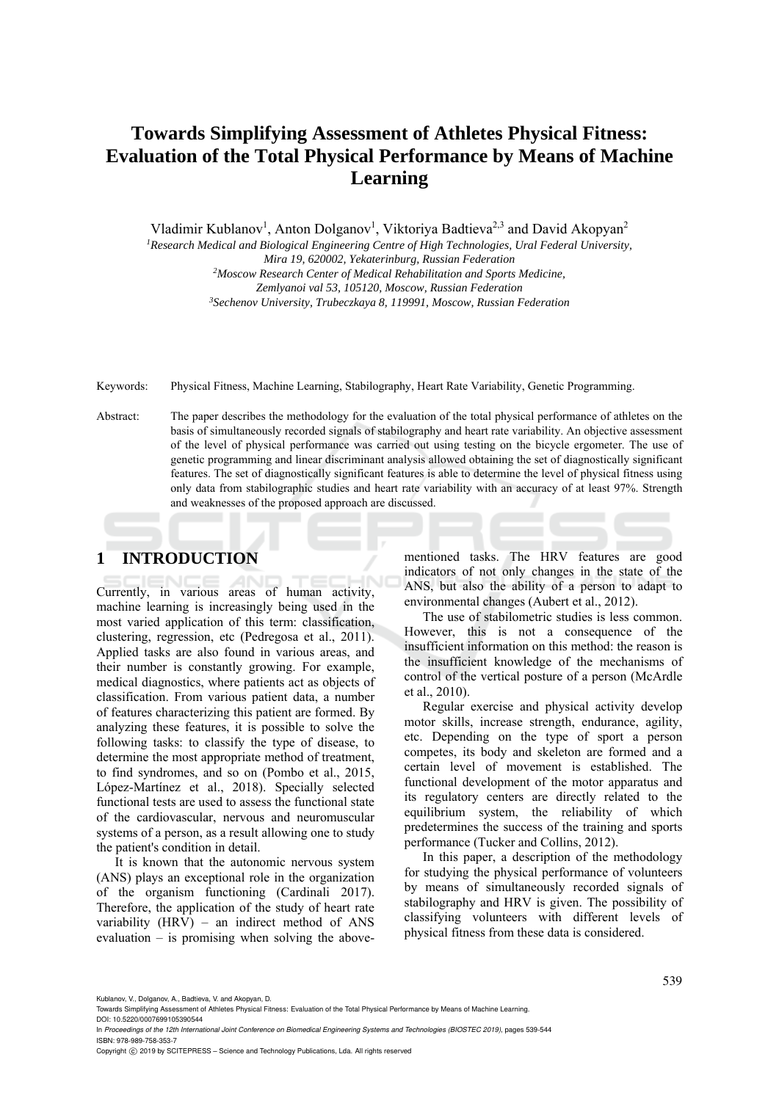# **Towards Simplifying Assessment of Athletes Physical Fitness: Evaluation of the Total Physical Performance by Means of Machine Learning**

Vladimir Kublanov<sup>1</sup>, Anton Dolganov<sup>1</sup>, Viktoriya Badtieva<sup>2,3</sup> and David Akopyan<sup>2</sup>

*1Research Medical and Biological Engineering Centre of High Technologies, Ural Federal University, Mira 19, 620002, Yekaterinburg, Russian Federation 2 Moscow Research Center of Medical Rehabilitation and Sports Medicine,* 

*Zemlyanoi val 53, 105120, Moscow, Russian Federation 3Sechenov University, Trubeczkaya 8, 119991, Moscow, Russian Federation* 

Keywords: Physical Fitness, Machine Learning, Stabilography, Heart Rate Variability, Genetic Programming.

Abstract: The paper describes the methodology for the evaluation of the total physical performance of athletes on the basis of simultaneously recorded signals of stabilography and heart rate variability. An objective assessment of the level of physical performance was carried out using testing on the bicycle ergometer. The use of genetic programming and linear discriminant analysis allowed obtaining the set of diagnostically significant features. The set of diagnostically significant features is able to determine the level of physical fitness using only data from stabilographic studies and heart rate variability with an accuracy of at least 97%. Strength and weaknesses of the proposed approach are discussed.

# **1 INTRODUCTION**

Currently, in various areas of human activity, machine learning is increasingly being used in the most varied application of this term: classification, clustering, regression, etc (Pedregosa et al., 2011). Applied tasks are also found in various areas, and their number is constantly growing. For example, medical diagnostics, where patients act as objects of classification. From various patient data, a number of features characterizing this patient are formed. By analyzing these features, it is possible to solve the following tasks: to classify the type of disease, to determine the most appropriate method of treatment, to find syndromes, and so on (Pombo et al., 2015, López-Martínez et al., 2018). Specially selected functional tests are used to assess the functional state of the cardiovascular, nervous and neuromuscular systems of a person, as a result allowing one to study the patient's condition in detail.

It is known that the autonomic nervous system (ANS) plays an exceptional role in the organization of the organism functioning (Cardinali 2017). Therefore, the application of the study of heart rate variability (HRV) – an indirect method of ANS evaluation – is promising when solving the abovementioned tasks. The HRV features are good indicators of not only changes in the state of the ANS, but also the ability of a person to adapt to environmental changes (Aubert et al., 2012).

The use of stabilometric studies is less common. However, this is not a consequence of the insufficient information on this method: the reason is the insufficient knowledge of the mechanisms of control of the vertical posture of a person (McArdle et al., 2010).

Regular exercise and physical activity develop motor skills, increase strength, endurance, agility, etc. Depending on the type of sport a person competes, its body and skeleton are formed and a certain level of movement is established. The functional development of the motor apparatus and its regulatory centers are directly related to the equilibrium system, the reliability of which predetermines the success of the training and sports performance (Tucker and Collins, 2012).

In this paper, a description of the methodology for studying the physical performance of volunteers by means of simultaneously recorded signals of stabilography and HRV is given. The possibility of classifying volunteers with different levels of physical fitness from these data is considered.

539

Kublanov, V., Dolganov, A., Badtieva, V. and Akopyan, D.

Towards Simplifying Assessment of Athletes Physical Fitness: Evaluation of the Total Physical Performance by Means of Machine Learning.

DOI: 10.5220/0007699105390544 In *Proceedings of the 12th International Joint Conference on Biomedical Engineering Systems and Technologies (BIOSTEC 2019)*, pages 539-544 ISBN: 978-989-758-353-7

Copyright C 2019 by SCITEPRESS - Science and Technology Publications, Lda. All rights reserved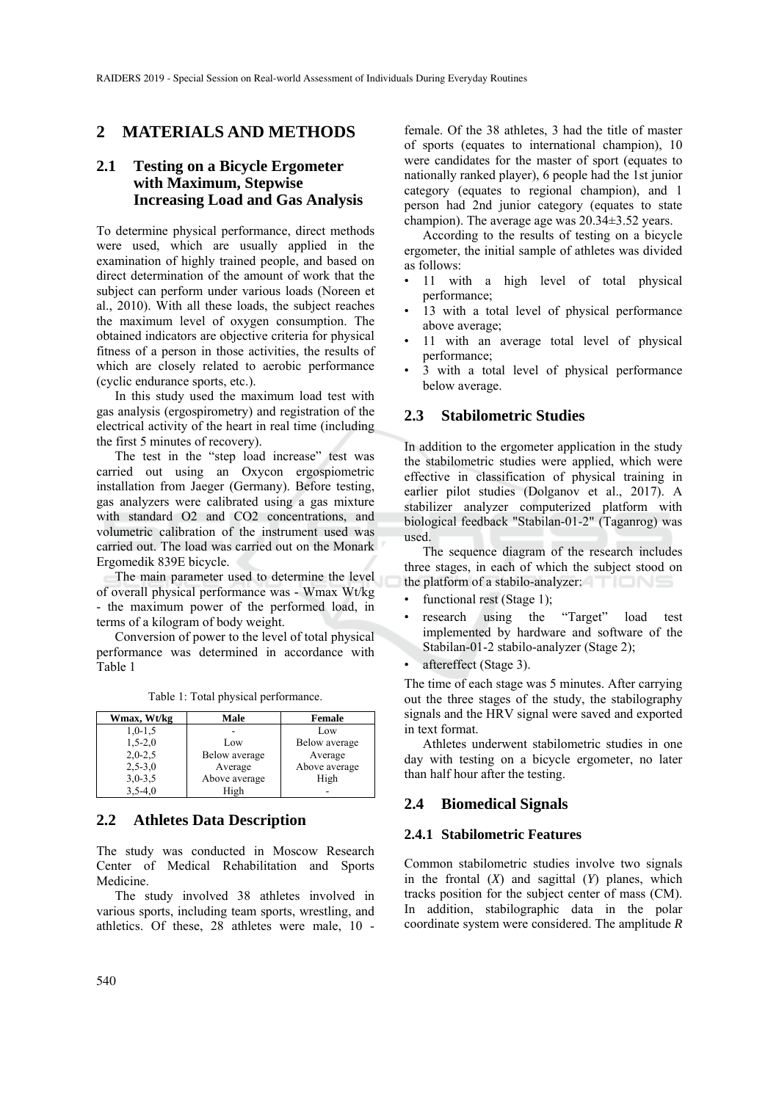## **2 MATERIALS AND METHODS**

## **2.1 Testing on a Bicycle Ergometer with Maximum, Stepwise Increasing Load and Gas Analysis**

To determine physical performance, direct methods were used, which are usually applied in the examination of highly trained people, and based on direct determination of the amount of work that the subject can perform under various loads (Noreen et al., 2010). With all these loads, the subject reaches the maximum level of oxygen consumption. The obtained indicators are objective criteria for physical fitness of a person in those activities, the results of which are closely related to aerobic performance (cyclic endurance sports, etc.).

In this study used the maximum load test with gas analysis (ergospirometry) and registration of the electrical activity of the heart in real time (including the first 5 minutes of recovery).

The test in the "step load increase" test was carried out using an Oxycon ergospiometric installation from Jaeger (Germany). Before testing, gas analyzers were calibrated using a gas mixture with standard O2 and CO2 concentrations, and volumetric calibration of the instrument used was carried out. The load was carried out on the Monark Ergomedik 839E bicycle.

The main parameter used to determine the level of overall physical performance was - Wmax Wt/kg - the maximum power of the performed load, in terms of a kilogram of body weight.

Conversion of power to the level of total physical performance was determined in accordance with Table 1

| Wmax, Wt/kg | Male          | <b>Female</b> |
|-------------|---------------|---------------|
| $1,0-1,5$   |               | Low           |
| $1,5-2,0$   | Low           | Below average |
| $2,0-2,5$   | Below average | Average       |
| $2,5 - 3,0$ | Average       | Above average |
| $3,0-3,5$   | Above average | High          |
| $3,5-4,0$   | High          |               |

Table 1: Total physical performance.

## **2.2 Athletes Data Description**

The study was conducted in Moscow Research Center of Medical Rehabilitation and Sports Medicine.

The study involved 38 athletes involved in various sports, including team sports, wrestling, and athletics. Of these, 28 athletes were male, 10 -

female. Of the 38 athletes, 3 had the title of master of sports (equates to international champion), 10 were candidates for the master of sport (equates to nationally ranked player), 6 people had the 1st junior category (equates to regional champion), and 1 person had 2nd junior category (equates to state champion). The average age was 20.34±3.52 years.

According to the results of testing on a bicycle ergometer, the initial sample of athletes was divided as follows:

- 11 with a high level of total physical performance;
- 13 with a total level of physical performance above average;
- 11 with an average total level of physical performance;
- 3 with a total level of physical performance below average.

## **2.3 Stabilometric Studies**

In addition to the ergometer application in the study the stabilometric studies were applied, which were effective in classification of physical training in earlier pilot studies (Dolganov et al., 2017). A stabilizer analyzer computerized platform with biological feedback "Stabilan-01-2" (Taganrog) was used.

The sequence diagram of the research includes three stages, in each of which the subject stood on the platform of a stabilo-analyzer:

- functional rest (Stage 1);
- research using the "Target" load test implemented by hardware and software of the Stabilan-01-2 stabilo-analyzer (Stage 2);
- aftereffect (Stage 3).

The time of each stage was 5 minutes. After carrying out the three stages of the study, the stabilography signals and the HRV signal were saved and exported in text format.

Athletes underwent stabilometric studies in one day with testing on a bicycle ergometer, no later than half hour after the testing.

## **2.4 Biomedical Signals**

#### **2.4.1 Stabilometric Features**

Common stabilometric studies involve two signals in the frontal (*X*) and sagittal (*Y*) planes, which tracks position for the subject center of mass (CM). In addition, stabilographic data in the polar coordinate system were considered. The amplitude *R*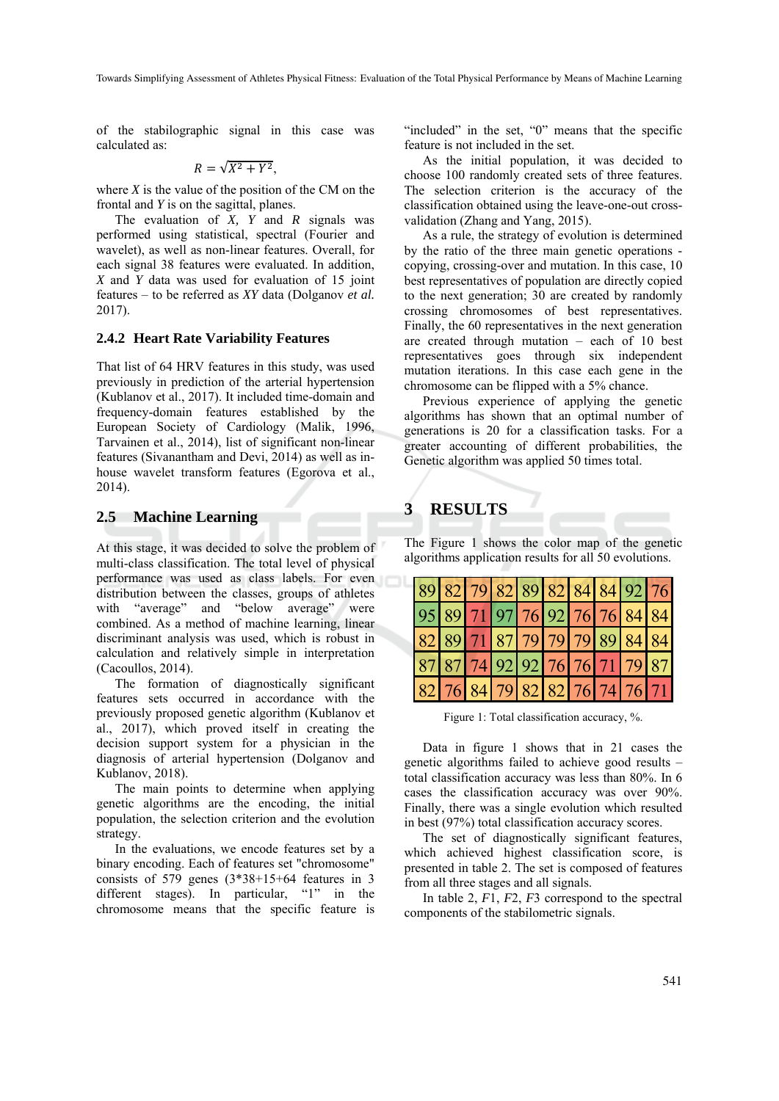Towards Simplifying Assessment of Athletes Physical Fitness: Evaluation of the Total Physical Performance by Means of Machine Learning

of the stabilographic signal in this case was calculated as:

$$
R=\sqrt{X^2+Y^2},
$$

where  $X$  is the value of the position of the CM on the frontal and *Y* is on the sagittal, planes.

The evaluation of *X, Y* and *R* signals was performed using statistical, spectral (Fourier and wavelet), as well as non-linear features. Overall, for each signal 38 features were evaluated. In addition, *X* and *Y* data was used for evaluation of 15 joint features – to be referred as *XY* data (Dolganov *et al.* 2017).

### **2.4.2 Heart Rate Variability Features**

That list of 64 HRV features in this study, was used previously in prediction of the arterial hypertension (Kublanov et al., 2017). It included time-domain and frequency-domain features established by the European Society of Cardiology (Malik, 1996, Tarvainen et al., 2014), list of significant non-linear features (Sivanantham and Devi, 2014) as well as inhouse wavelet transform features (Egorova et al., 2014).

## **2.5 Machine Learning**

At this stage, it was decided to solve the problem of multi-class classification. The total level of physical performance was used as class labels. For even distribution between the classes, groups of athletes with "average" and "below average" were combined. As a method of machine learning, linear discriminant analysis was used, which is robust in calculation and relatively simple in interpretation (Cacoullos, 2014).

The formation of diagnostically significant features sets occurred in accordance with the previously proposed genetic algorithm (Kublanov et al., 2017), which proved itself in creating the decision support system for a physician in the diagnosis of arterial hypertension (Dolganov and Kublanov, 2018).

The main points to determine when applying genetic algorithms are the encoding, the initial population, the selection criterion and the evolution strategy.

In the evaluations, we encode features set by a binary encoding. Each of features set "chromosome" consists of  $579$  genes  $(3*38+15+64$  features in 3 different stages). In particular, "1" in the chromosome means that the specific feature is

"included" in the set, "0" means that the specific feature is not included in the set.

As the initial population, it was decided to choose 100 randomly created sets of three features. The selection criterion is the accuracy of the classification obtained using the leave-one-out crossvalidation (Zhang and Yang, 2015).

As a rule, the strategy of evolution is determined by the ratio of the three main genetic operations copying, crossing-over and mutation. In this case, 10 best representatives of population are directly copied to the next generation; 30 are created by randomly crossing chromosomes of best representatives. Finally, the 60 representatives in the next generation are created through mutation – each of 10 best representatives goes through six independent mutation iterations. In this case each gene in the chromosome can be flipped with a 5% chance.

Previous experience of applying the genetic algorithms has shown that an optimal number of generations is 20 for a classification tasks. For a greater accounting of different probabilities, the Genetic algorithm was applied 50 times total.

# **3 RESULTS**

The Figure 1 shows the color map of the genetic algorithms application results for all 50 evolutions.

|  |                               |  |  |  | 89 82 79 82 89 82 84 84 92 76 |
|--|-------------------------------|--|--|--|-------------------------------|
|  |                               |  |  |  | 95 89 71 97 76 92 76 76 84 84 |
|  |                               |  |  |  | 82 89 71 87 79 79 79 89 84 84 |
|  |                               |  |  |  | 87 87 74 92 92 76 76 71 79 87 |
|  | 82 76 84 79 82 82 76 74 76 71 |  |  |  |                               |

Figure 1: Total classification accuracy, %.

Data in figure 1 shows that in 21 cases the genetic algorithms failed to achieve good results – total classification accuracy was less than 80%. In 6 cases the classification accuracy was over 90%. Finally, there was a single evolution which resulted in best (97%) total classification accuracy scores.

The set of diagnostically significant features, which achieved highest classification score, is presented in table 2. The set is composed of features from all three stages and all signals.

In table 2, *F*1, *F*2, *F*3 correspond to the spectral components of the stabilometric signals.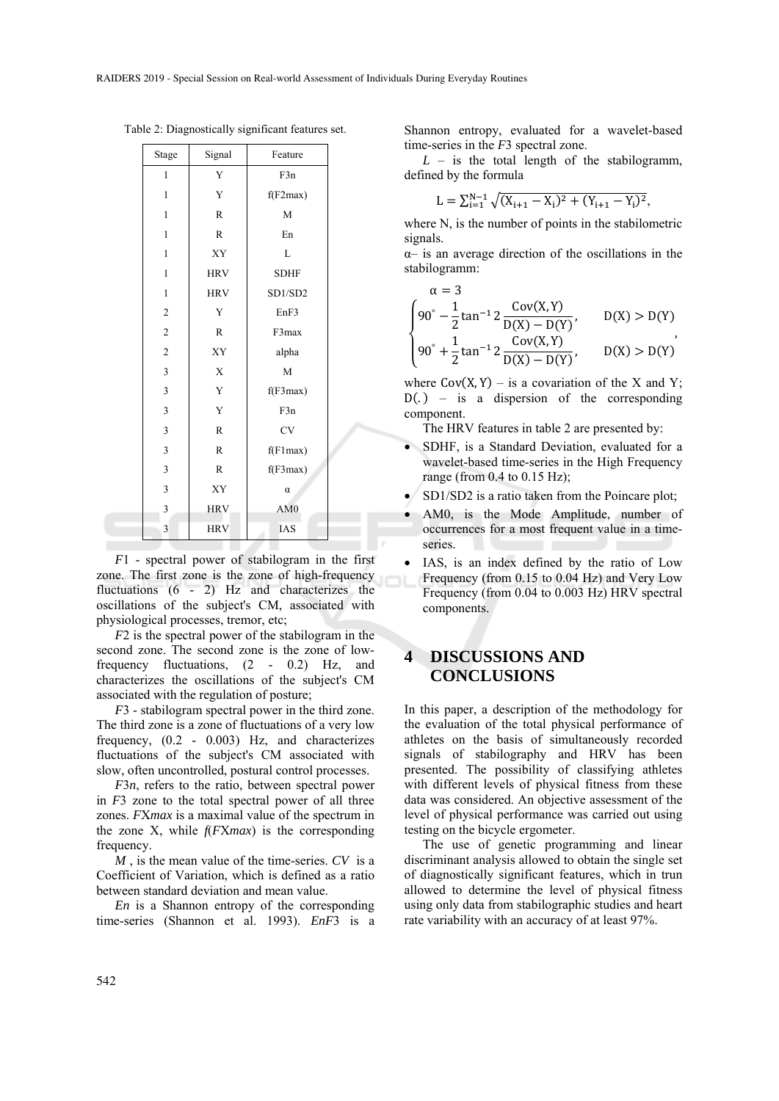| Stage                   | Signal                | Feature         |  |
|-------------------------|-----------------------|-----------------|--|
| 1                       | Y                     | F3n             |  |
| $\mathbf{1}$            | Y                     | f(F2max)        |  |
| $\mathbf{1}$            | $\overline{\text{R}}$ | M               |  |
| $\mathbf{1}$            | $\mathbb{R}$          | En              |  |
| $\mathbf{1}$            | XY                    | L               |  |
| $\mathbf{1}$            | <b>HRV</b>            | <b>SDHF</b>     |  |
| $\mathbf{1}$            | <b>HRV</b>            | SD1/SD2         |  |
| $\overline{\mathbf{c}}$ | Y                     | EnF3            |  |
| $\overline{c}$          | $\mathbb{R}$          | F3max           |  |
| $\overline{c}$          | XY                    | alpha           |  |
| 3                       | $\mathbf X$           | M               |  |
| 3                       | Y                     | f(F3max)        |  |
| 3                       | Y                     | F3n             |  |
| 3                       | $\overline{\text{R}}$ | CV              |  |
| 3                       | $\mathbb{R}$          | f(F1max)        |  |
| 3                       | $\mathbb{R}$          | f(F3max)        |  |
| 3                       | XY                    | $\alpha$        |  |
| 3                       | <b>HRV</b>            | AM <sub>0</sub> |  |
| 3                       | <b>HRV</b>            | <b>IAS</b>      |  |

Table 2: Diagnostically significant features set.

*F*1 - spectral power of stabilogram in the first zone. The first zone is the zone of high-frequency fluctuations (6 - 2) Hz and characterizes the oscillations of the subject's CM, associated with physiological processes, tremor, etc;

*F*2 is the spectral power of the stabilogram in the second zone. The second zone is the zone of lowfrequency fluctuations, (2 - 0.2) Hz, and characterizes the oscillations of the subject's CM associated with the regulation of posture;

*F*3 - stabilogram spectral power in the third zone. The third zone is a zone of fluctuations of a very low frequency, (0.2 - 0.003) Hz, and characterizes fluctuations of the subject's CM associated with slow, often uncontrolled, postural control processes.

*F*3*n*, refers to the ratio, between spectral power in *F*3 zone to the total spectral power of all three zones. *F*X*max* is a maximal value of the spectrum in the zone X, while *f*(*F*X*max*) is the corresponding frequency.

*M* , is the mean value of the time-series. *CV* is a Coefficient of Variation, which is defined as a ratio between standard deviation and mean value.

*En* is a Shannon entropy of the corresponding time-series (Shannon et al. 1993). *EnF*3 is a Shannon entropy, evaluated for a wavelet-based time-series in the *F*3 spectral zone.

 $L$  – is the total length of the stabilogramm, defined by the formula

$$
L = \sum_{i=1}^{N-1} \sqrt{(X_{i+1} - X_i)^2 + (Y_{i+1} - Y_i)^2},
$$

where N, is the number of points in the stabilometric signals.

α– is an average direction of the oscillations in the stabilogramm:

$$
\alpha = 3
$$
\n
$$
\begin{cases}\n90^\circ - \frac{1}{2} \tan^{-1} 2 \frac{\text{Cov}(X, Y)}{\text{D}(X) - \text{D}(Y)}, & D(X) > \text{D}(Y) \\
90^\circ + \frac{1}{2} \tan^{-1} 2 \frac{\text{Cov}(X, Y)}{\text{D}(X) - \text{D}(Y)}, & D(X) > \text{D}(Y)\n\end{cases}
$$

where  $Cov(X, Y)$  – is a covariation of the X and Y;  $D(.)$  – is a dispersion of the corresponding component.

The HRV features in table 2 are presented by:

- SDHF, is a Standard Deviation, evaluated for a wavelet-based time-series in the High Frequency range (from 0.4 to 0.15 Hz);
- SD1/SD2 is a ratio taken from the Poincare plot;
- AM0, is the Mode Amplitude, number of occurrences for a most frequent value in a timeseries.
- IAS, is an index defined by the ratio of Low Frequency (from 0.15 to 0.04 Hz) and Very Low Frequency (from 0.04 to 0.003 Hz) HRV spectral components.

## **4 DISCUSSIONS AND CONCLUSIONS**

In this paper, a description of the methodology for the evaluation of the total physical performance of athletes on the basis of simultaneously recorded signals of stabilography and HRV has been presented. The possibility of classifying athletes with different levels of physical fitness from these data was considered. An objective assessment of the level of physical performance was carried out using testing on the bicycle ergometer.

The use of genetic programming and linear discriminant analysis allowed to obtain the single set of diagnostically significant features, which in trun allowed to determine the level of physical fitness using only data from stabilographic studies and heart rate variability with an accuracy of at least 97%.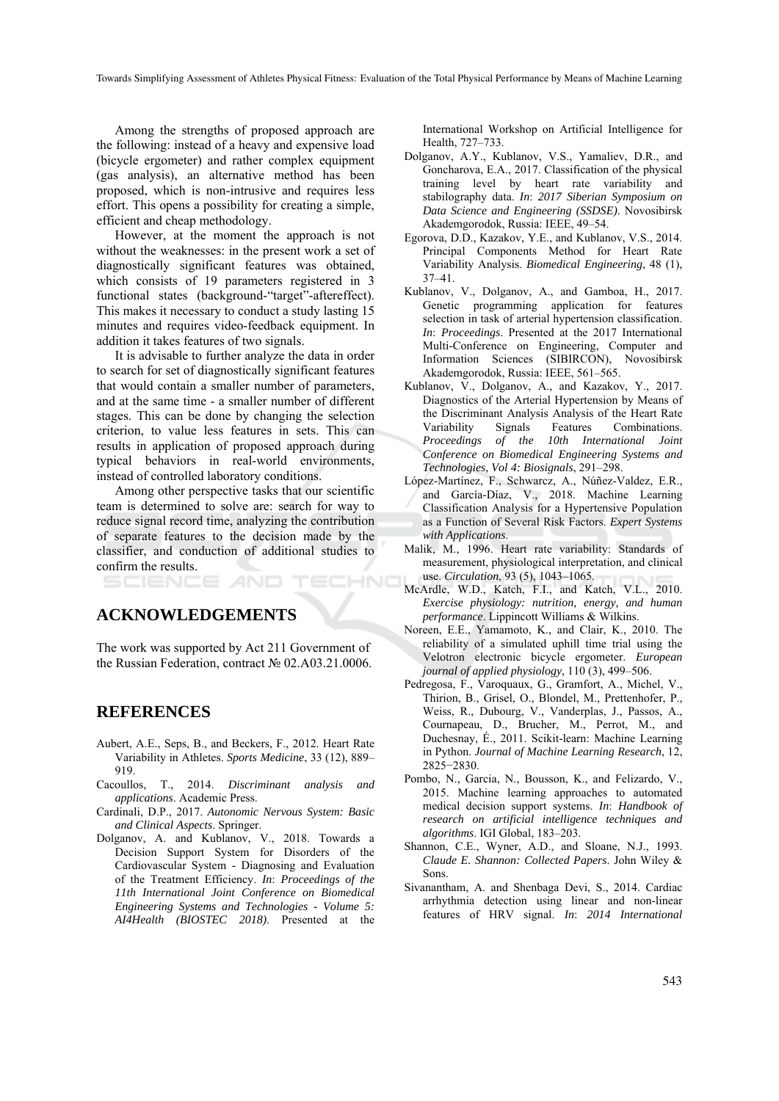Towards Simplifying Assessment of Athletes Physical Fitness: Evaluation of the Total Physical Performance by Means of Machine Learning

HNO

Among the strengths of proposed approach are the following: instead of a heavy and expensive load (bicycle ergometer) and rather complex equipment (gas analysis), an alternative method has been proposed, which is non-intrusive and requires less effort. This opens a possibility for creating a simple, efficient and cheap methodology.

However, at the moment the approach is not without the weaknesses: in the present work a set of diagnostically significant features was obtained, which consists of 19 parameters registered in 3 functional states (background-"target"-aftereffect). This makes it necessary to conduct a study lasting 15 minutes and requires video-feedback equipment. In addition it takes features of two signals.

It is advisable to further analyze the data in order to search for set of diagnostically significant features that would contain a smaller number of parameters, and at the same time - a smaller number of different stages. This can be done by changing the selection criterion, to value less features in sets. This can results in application of proposed approach during typical behaviors in real-world environments, instead of controlled laboratory conditions.

Among other perspective tasks that our scientific team is determined to solve are: search for way to reduce signal record time, analyzing the contribution of separate features to the decision made by the classifier, and conduction of additional studies to confirm the results.

**ACKNOWLEDGEMENTS** 

The work was supported by Act 211 Government of the Russian Federation, contract № 02.A03.21.0006.

## **REFERENCES**

- Aubert, A.E., Seps, B., and Beckers, F., 2012. Heart Rate Variability in Athletes. *Sports Medicine*, 33 (12), 889– 919.
- Cacoullos, T., 2014. *Discriminant analysis and applications*. Academic Press.
- Cardinali, D.P., 2017. *Autonomic Nervous System: Basic and Clinical Aspects*. Springer.
- Dolganov, A. and Kublanov, V., 2018. Towards a Decision Support System for Disorders of the Cardiovascular System - Diagnosing and Evaluation of the Treatment Efficiency. *In*: *Proceedings of the 11th International Joint Conference on Biomedical Engineering Systems and Technologies - Volume 5: AI4Health (BIOSTEC 2018)*. Presented at the

International Workshop on Artificial Intelligence for Health, 727–733.

- Dolganov, A.Y., Kublanov, V.S., Yamaliev, D.R., and Goncharova, E.A., 2017. Classification of the physical training level by heart rate variability and stabilography data. *In*: *2017 Siberian Symposium on Data Science and Engineering (SSDSE)*. Novosibirsk Akademgorodok, Russia: IEEE, 49–54.
- Egorova, D.D., Kazakov, Y.E., and Kublanov, V.S., 2014. Principal Components Method for Heart Rate Variability Analysis. *Biomedical Engineering*, 48 (1), 37–41.
- Kublanov, V., Dolganov, A., and Gamboa, H., 2017. Genetic programming application for features selection in task of arterial hypertension classification. *In*: *Proceedings*. Presented at the 2017 International Multi-Conference on Engineering, Computer and Information Sciences (SIBIRCON), Novosibirsk Akademgorodok, Russia: IEEE, 561–565.
- Kublanov, V., Dolganov, A., and Kazakov, Y., 2017. Diagnostics of the Arterial Hypertension by Means of the Discriminant Analysis Analysis of the Heart Rate Variability Signals Features Combinations. *Proceedings of the 10th International Joint Conference on Biomedical Engineering Systems and Technologies, Vol 4: Biosignals*, 291–298.
- López-Martínez, F., Schwarcz, A., Núñez-Valdez, E.R., and García-Díaz, V., 2018. Machine Learning Classification Analysis for a Hypertensive Population as a Function of Several Risk Factors. *Expert Systems with Applications*.
- Malik, M., 1996. Heart rate variability: Standards of measurement, physiological interpretation, and clinical use. *Circulation*, 93 (5), 1043–1065.
- McArdle, W.D., Katch, F.I., and Katch, V.L., 2010. *Exercise physiology: nutrition, energy, and human performance*. Lippincott Williams & Wilkins.
- Noreen, E.E., Yamamoto, K., and Clair, K., 2010. The reliability of a simulated uphill time trial using the Velotron electronic bicycle ergometer. *European journal of applied physiology*, 110 (3), 499–506.
- Pedregosa, F., Varoquaux, G., Gramfort, A., Michel, V., Thirion, B., Grisel, O., Blondel, M., Prettenhofer, P., Weiss, R., Dubourg, V., Vanderplas, J., Passos, A., Cournapeau, D., Brucher, M., Perrot, M., and Duchesnay, É., 2011. Scikit-learn: Machine Learning in Python. *Journal of Machine Learning Research*, 12, 2825−2830.
- Pombo, N., Garcia, N., Bousson, K., and Felizardo, V., 2015. Machine learning approaches to automated medical decision support systems. *In*: *Handbook of research on artificial intelligence techniques and algorithms*. IGI Global, 183–203.
- Shannon, C.E., Wyner, A.D., and Sloane, N.J., 1993. *Claude E. Shannon: Collected Papers*. John Wiley & Sons.
- Sivanantham, A. and Shenbaga Devi, S., 2014. Cardiac arrhythmia detection using linear and non-linear features of HRV signal. *In*: *2014 International*